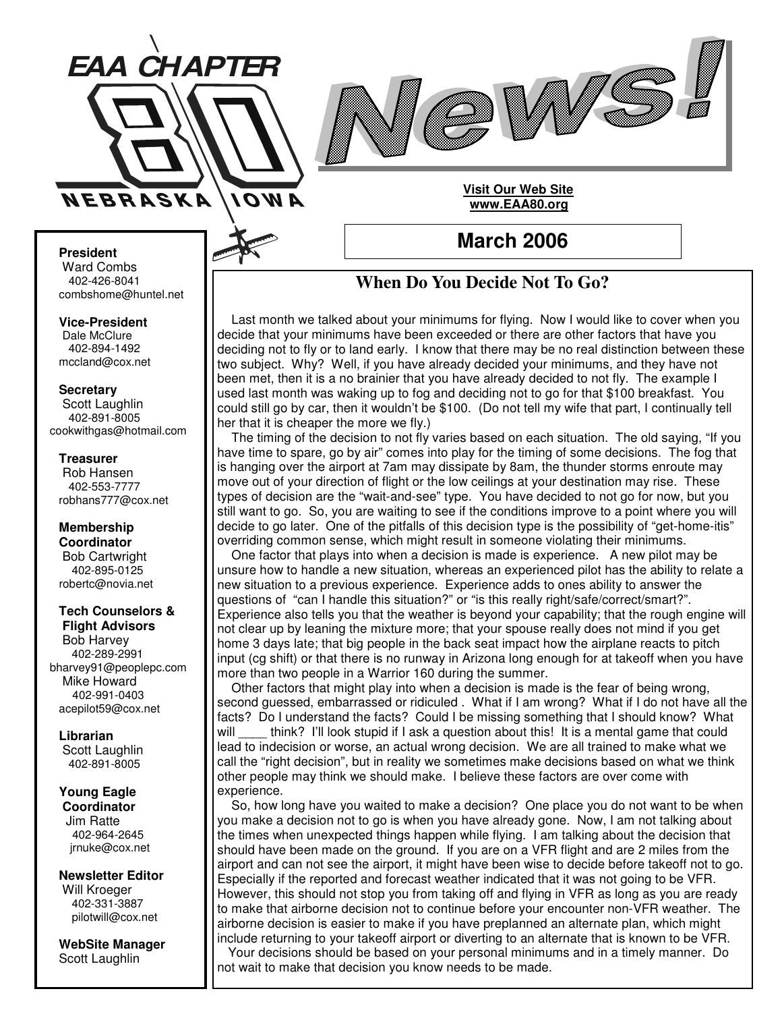



# **Visit Our Web Site www.EAA80.org**

**March 2006**

# **President**

Ward Combs 402-426-8041 combshome@huntel.net

**Vice-President** Dale McClure

402-894-1492 mccland@cox.net

### **Secretary**

Scott Laughlin 402-891-8005 cookwithgas@hotmail.com

### **Treasurer**

Rob Hansen 402-553-7777 robhans777@cox.net

### **Membership Coordinator** Bob Cartwright 402-895-0125 robertc@novia.net

### **Tech Counselors & Flight Advisors**

Bob Harvey 402-289-2991 bharvey91@peoplepc.com Mike Howard 402-991-0403 acepilot59@cox.net

# **Librarian**

Scott Laughlin 402-891-8005

### **Young Eagle Coordinator**

Jim Ratte 402-964-2645 jrnuke@cox.net

**Newsletter Editor** Will Kroeger 402-331-3887 pilotwill@cox.net

**WebSite Manager** Scott Laughlin

# **When Do You Decide Not To Go?**

Last month we talked about your minimums for flying. Now I would like to cover when you decide that your minimums have been exceeded or there are other factors that have you deciding not to fly or to land early. I know that there may be no real distinction between these two subject. Why? Well, if you have already decided your minimums, and they have not been met, then it is a no brainier that you have already decided to not fly. The example I used last month was waking up to fog and deciding not to go for that \$100 breakfast. You could still go by car, then it wouldn't be \$100. (Do not tell my wife that part, I continually tell her that it is cheaper the more we fly.)

The timing of the decision to not fly varies based on each situation. The old saying, "If you have time to spare, go by air" comes into play for the timing of some decisions. The fog that is hanging over the airport at 7am may dissipate by 8am, the thunder storms enroute may move out of your direction of flight or the low ceilings at your destination may rise. These types of decision are the "wait-and-see" type. You have decided to not go for now, but you still want to go. So, you are waiting to see if the conditions improve to a point where you will decide to go later. One of the pitfalls of this decision type is the possibility of "get-home-itis" overriding common sense, which might result in someone violating their minimums.

One factor that plays into when a decision is made is experience. A new pilot may be unsure how to handle a new situation, whereas an experienced pilot has the ability to relate a new situation to a previous experience. Experience adds to ones ability to answer the questions of "can I handle this situation?" or "is this really right/safe/correct/smart?". Experience also tells you that the weather is beyond your capability; that the rough engine will not clear up by leaning the mixture more; that your spouse really does not mind if you get home 3 days late; that big people in the back seat impact how the airplane reacts to pitch input (cg shift) or that there is no runway in Arizona long enough for at takeoff when you have more than two people in a Warrior 160 during the summer.

Other factors that might play into when a decision is made is the fear of being wrong, second guessed, embarrassed or ridiculed . What if I am wrong? What if I do not have all the facts? Do I understand the facts? Could I be missing something that I should know? What will think? I'll look stupid if I ask a question about this! It is a mental game that could lead to indecision or worse, an actual wrong decision. We are all trained to make what we call the "right decision", but in reality we sometimes make decisions based on what we think other people may think we should make. I believe these factors are over come with experience.

So, how long have you waited to make a decision? One place you do not want to be when you make a decision not to go is when you have already gone. Now, I am not talking about the times when unexpected things happen while flying. I am talking about the decision that should have been made on the ground. If you are on a VFR flight and are 2 miles from the airport and can not see the airport, it might have been wise to decide before takeoff not to go. Especially if the reported and forecast weather indicated that it was not going to be VFR. However, this should not stop you from taking off and flying in VFR as long as you are ready to make that airborne decision not to continue before your encounter non-VFR weather. The airborne decision is easier to make if you have preplanned an alternate plan, which might include returning to your takeoff airport or diverting to an alternate that is known to be VFR. Your decisions should be based on your personal minimums and in a timely manner. Do not wait to make that decision you know needs to be made.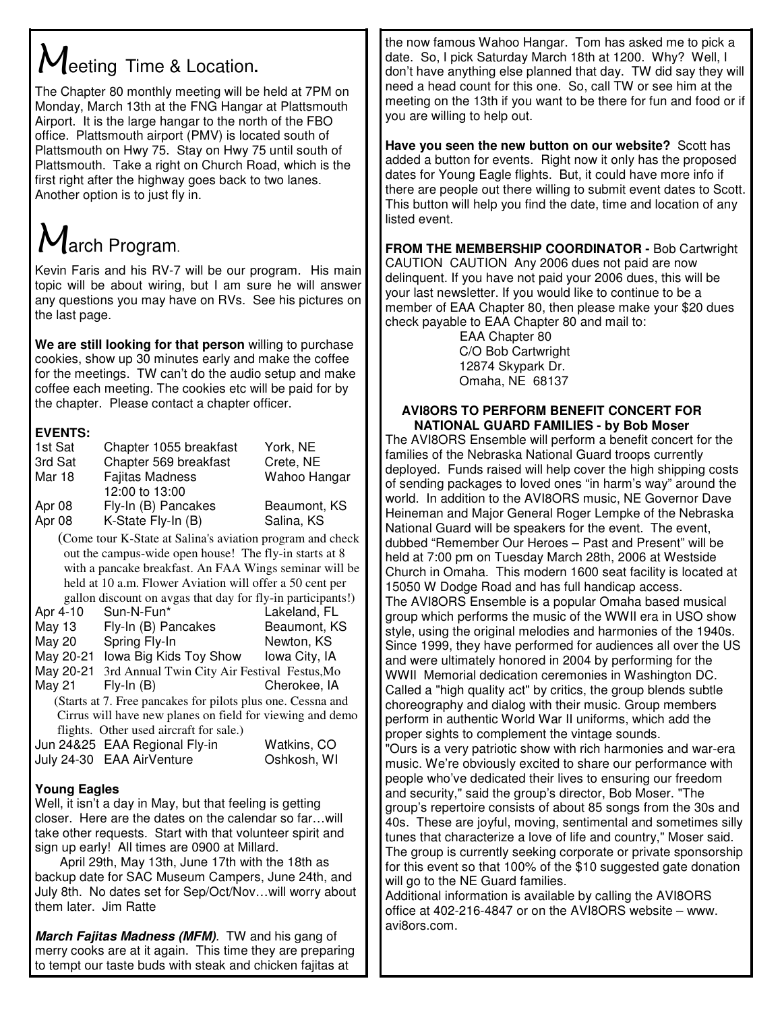# $M$ eeting Time & Location.

The Chapter 80 monthly meeting will be held at 7PM on Monday, March 13th at the FNG Hangar at Plattsmouth Airport. It is the large hangar to the north of the FBO office. Plattsmouth airport (PMV) is located south of Plattsmouth on Hwy 75. Stay on Hwy 75 until south of Plattsmouth. Take a right on Church Road, which is the first right after the highway goes back to two lanes. Another option is to just fly in.

# $M$ arch Program.

Kevin Faris and his RV-7 will be our program. His main topic will be about wiring, but I am sure he will answer any questions you may have on RVs. See his pictures on the last page.

**We are still looking for that person** willing to purchase cookies, show up 30 minutes early and make the coffee for the meetings. TW can't do the audio setup and make coffee each meeting. The cookies etc will be paid for by the chapter. Please contact a chapter officer.

# **EVENTS:**

| 1st Sat | Chapter 1055 breakfast | York, NE     |
|---------|------------------------|--------------|
| 3rd Sat | Chapter 569 breakfast  | Crete, NE    |
| Mar 18  | <b>Fajitas Madness</b> | Wahoo Hangar |
|         | 12:00 to 13:00         |              |
| Apr 08  | Fly-In (B) Pancakes    | Beaumont, KS |
| Apr 08  | K-State Fly-In (B)     | Salina, KS   |

(Come tour K-State at Salina's aviation program and check out the campus-wide open house! The fly-in starts at 8 with a pancake breakfast. An FAA Wings seminar will be held at 10 a.m. Flower Aviation will offer a 50 cent per gallon discount on avgas that day for fly-in participants!)

| Apr 4-10                                | Sun-N-Fun*                                                  | Lakeland, FL  |  |
|-----------------------------------------|-------------------------------------------------------------|---------------|--|
| May 13                                  | Fly-In (B) Pancakes                                         | Beaumont, KS  |  |
| <b>May 20</b>                           | Spring Fly-In                                               | Newton, KS    |  |
| May 20-21                               | lowa Big Kids Toy Show                                      | Iowa City, IA |  |
| May 20-21                               | 3rd Annual Twin City Air Festival Festus, Mo                |               |  |
| May 21                                  | $Fly-In(B)$                                                 | Cherokee, IA  |  |
|                                         | (Starts at 7. Free pancakes for pilots plus one. Cessna and |               |  |
|                                         | Cirrus will have new planes on field for viewing and demo   |               |  |
| flights. Other used aircraft for sale.) |                                                             |               |  |
|                                         | Jun 24&25 EAA Regional Fly-in                               | Watkins, CO   |  |
|                                         | July 24-30 EAA AirVenture                                   | Oshkosh, WI   |  |
|                                         |                                                             |               |  |

# **Young Eagles**

Well, it isn't a day in May, but that feeling is getting closer. Here are the dates on the calendar so far…will take other requests. Start with that volunteer spirit and sign up early! All times are 0900 at Millard.

April 29th, May 13th, June 17th with the 18th as backup date for SAC Museum Campers, June 24th, and July 8th. No dates set for Sep/Oct/Nov…will worry about them later. Jim Ratte

*March Fajitas Madness (MFM).* TW and his gang of merry cooks are at it again. This time they are preparing to tempt our taste buds with steak and chicken fajitas at

the now famous Wahoo Hangar. Tom has asked me to pick a date. So, I pick Saturday March 18th at 1200. Why? Well, I don't have anything else planned that day. TW did say they will need a head count for this one. So, call TW or see him at the meeting on the 13th if you want to be there for fun and food or if you are willing to help out.

**Have you seen the new button on our website?** Scott has added a button for events. Right now it only has the proposed dates for Young Eagle flights. But, it could have more info if there are people out there willing to submit event dates to Scott. This button will help you find the date, time and location of any listed event.

**FROM THE MEMBERSHIP COORDINATOR -** Bob Cartwright CAUTION CAUTION Any 2006 dues not paid are now delinquent. If you have not paid your 2006 dues, this will be your last newsletter. If you would like to continue to be a member of EAA Chapter 80, then please make your \$20 dues check payable to EAA Chapter 80 and mail to:

EAA Chapter 80 C/O Bob Cartwright 12874 Skypark Dr. Omaha, NE 68137

# **AVI8ORS TO PERFORM BENEFIT CONCERT FOR NATIONAL GUARD FAMILIES - by Bob Moser**

The AVI8ORS Ensemble will perform a benefit concert for the families of the Nebraska National Guard troops currently deployed. Funds raised will help cover the high shipping costs of sending packages to loved ones "in harm's way" around the world. In addition to the AVI8ORS music, NE Governor Dave Heineman and Major General Roger Lempke of the Nebraska National Guard will be speakers for the event. The event, dubbed "Remember Our Heroes – Past and Present" will be held at 7:00 pm on Tuesday March 28th, 2006 at Westside Church in Omaha. This modern 1600 seat facility is located at 15050 W Dodge Road and has full handicap access. The AVI8ORS Ensemble is a popular Omaha based musical group which performs the music of the WWII era in USO show style, using the original melodies and harmonies of the 1940s. Since 1999, they have performed for audiences all over the US and were ultimately honored in 2004 by performing for the WWII Memorial dedication ceremonies in Washington DC. Called a "high quality act" by critics, the group blends subtle choreography and dialog with their music. Group members perform in authentic World War II uniforms, which add the proper sights to complement the vintage sounds. "Ours is a very patriotic show with rich harmonies and war-era

music. We're obviously excited to share our performance with people who've dedicated their lives to ensuring our freedom and security," said the group's director, Bob Moser. "The group's repertoire consists of about 85 songs from the 30s and 40s. These are joyful, moving, sentimental and sometimes silly tunes that characterize a love of life and country," Moser said. The group is currently seeking corporate or private sponsorship for this event so that 100% of the \$10 suggested gate donation will go to the NE Guard families.

Additional information is available by calling the AVI8ORS office at 402-216-4847 or on the AVI8ORS website – www. avi8ors.com.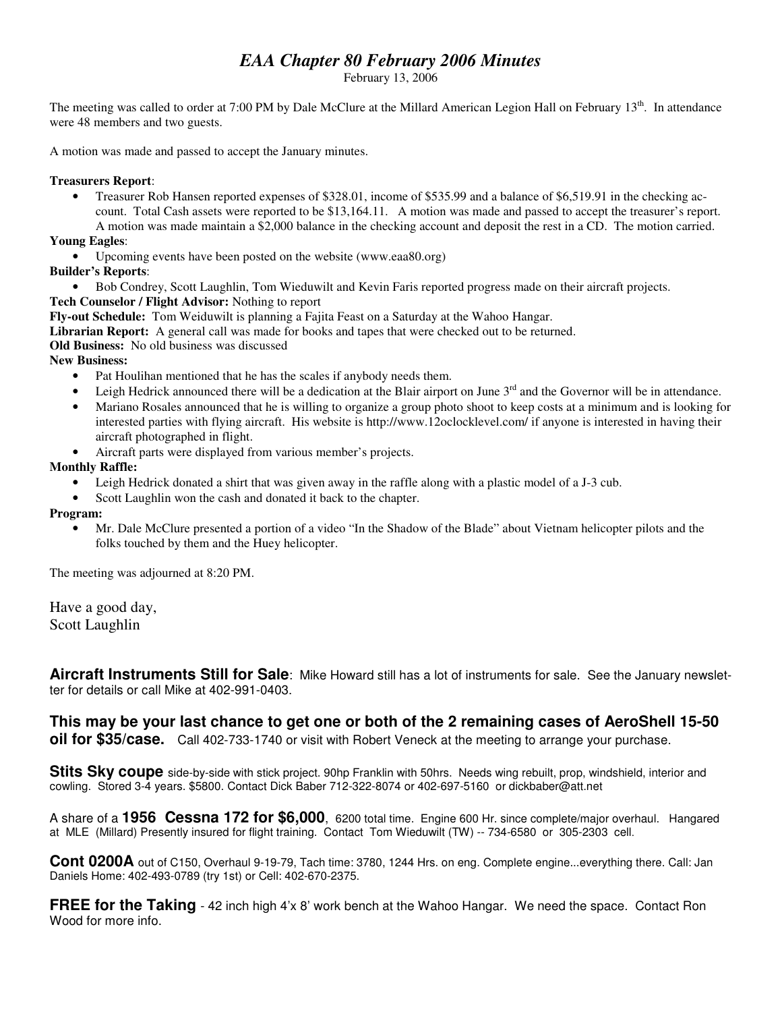# *EAA Chapter 80 February 2006 Minutes*

February 13, 2006

The meeting was called to order at 7:00 PM by Dale McClure at the Millard American Legion Hall on February 13<sup>th</sup>. In attendance were 48 members and two guests.

A motion was made and passed to accept the January minutes.

# **Treasurers Report**:

• Treasurer Rob Hansen reported expenses of \$328.01, income of \$535.99 and a balance of \$6,519.91 in the checking account. Total Cash assets were reported to be \$13,164.11. A motion was made and passed to accept the treasurer's report. A motion was made maintain a \$2,000 balance in the checking account and deposit the rest in a CD. The motion carried.

# **Young Eagles**:

- Upcoming events have been posted on the website (www.eaa80.org)
- **Builder's Reports**:
- Bob Condrey, Scott Laughlin, Tom Wieduwilt and Kevin Faris reported progress made on their aircraft projects.

# **Tech Counselor / Flight Advisor:** Nothing to report

**Fly-out Schedule:** Tom Weiduwilt is planning a Fajita Feast on a Saturday at the Wahoo Hangar.

**Librarian Report:** A general call was made for books and tapes that were checked out to be returned.

**Old Business:** No old business was discussed

**New Business:**

- Pat Houlihan mentioned that he has the scales if anybody needs them.
- $\bullet$  Leigh Hedrick announced there will be a dedication at the Blair airport on June  $3<sup>rd</sup>$  and the Governor will be in attendance.
- Mariano Rosales announced that he is willing to organize a group photo shoot to keep costs at a minimum and is looking for interested parties with flying aircraft. His website is http://www.12oclocklevel.com/ if anyone is interested in having their aircraft photographed in flight.
- Aircraft parts were displayed from various member's projects.

# **Monthly Raffle:**

- Leigh Hedrick donated a shirt that was given away in the raffle along with a plastic model of a J-3 cub.
- Scott Laughlin won the cash and donated it back to the chapter.

# **Program:**

• Mr. Dale McClure presented a portion of a video "In the Shadow of the Blade" about Vietnam helicopter pilots and the folks touched by them and the Huey helicopter.

The meeting was adjourned at 8:20 PM.

Have a good day, Scott Laughlin

**Aircraft Instruments Still for Sale**: Mike Howard still has a lot of instruments for sale. See the January newsletter for details or call Mike at 402-991-0403.

**This may be your last chance to get one or both of the 2 remaining cases of AeroShell 15-50 oil for \$35/case.** Call 402-733-1740 or visit with Robert Veneck at the meeting to arrange your purchase.

**Stits Sky coupe** side-by-side with stick project. 90hp Franklin with 50hrs. Needs wing rebuilt, prop, windshield, interior and cowling. Stored 3-4 years. \$5800. Contact Dick Baber 712-322-8074 or 402-697-5160 or dickbaber@att.net

A share of a **1956 Cessna 172 for \$6,000**, 6200 total time. Engine 600 Hr. since complete/major overhaul. Hangared at MLE (Millard) Presently insured for flight training. Contact Tom Wieduwilt (TW) -- 734-6580 or 305-2303 cell.

**Cont 0200A** out of C150, Overhaul 9-19-79, Tach time: 3780, 1244 Hrs. on eng. Complete engine...everything there. Call: Jan Daniels Home: 402-493-0789 (try 1st) or Cell: 402-670-2375.

**FREE for the Taking** - 42 inch high 4'x 8' work bench at the Wahoo Hangar. We need the space. Contact Ron Wood for more info.